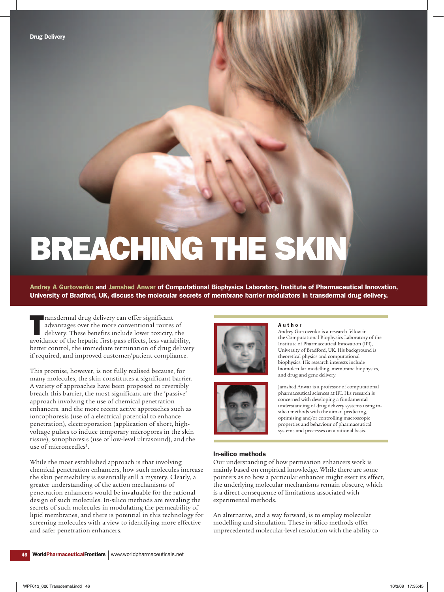# BREACHING THE SKIN

Andrey A Gurtovenko and Jamshed Anwar of Computational Biophysics Laboratory, Institute of Pharmaceutical Innovation, University of Bradford, UK, discuss the molecular secrets of membrane barrier modulators in transdermal drug delivery.

ransdermal drug delivery can offer significant<br>advantages over the more conventional routes of<br>delivery. These benefits include lower toxicity, the<br>avoidance of the hepatic first-pass effects, less variability, ransdermal drug delivery can offer significant advantages over the more conventional routes of delivery. These benefits include lower toxicity, the better control, the immediate termination of drug delivery if required, and improved customer/patient compliance.

This promise, however, is not fully realised because, for many molecules, the skin constitutes a significant barrier. A variety of approaches have been proposed to reversibly breach this barrier, the most significant are the 'passive' approach involving the use of chemical penetration enhancers, and the more recent active approaches such as iontophoresis (use of a electrical potential to enhance penetration), electroporation (application of short, highvoltage pulses to induce temporary micropores in the skin tissue), sonophoresis (use of low-level ultrasound), and the use of microneedles1.

While the most established approach is that involving chemical penetration enhancers, how such molecules increase the skin permeability is essentially still a mystery. Clearly, a greater understanding of the action mechanisms of penetration enhancers would be invaluable for the rational design of such molecules. In-silico methods are revealing the secrets of such molecules in modulating the permeability of lipid membranes, and there is potential in this technology for screening molecules with a view to identifying more effective and safer penetration enhancers.





#### A u t h o r

Andrey Gurtovenko is a research fellow in the Computational Biophysics Laboratory of the Institute of Pharmaceutical Innovation (IPI), University of Bradford, UK. His background is theoretical physics and computational biophysics. His research interests include biomolecular modelling, membrane biophysics, and drug and gene delivery.

Jamshed Anwar is a professor of computational pharmaceutical sciences at IPI. His research is concerned with developing a fundamental understanding of drug delivery systems using insilico methods with the aim of predicting, optimising and/or controlling macroscopic properties and behaviour of pharmaceutical systems and processes on a rational basis.

## In-silico methods

Our understanding of how permeation enhancers work is mainly based on empirical knowledge. While there are some pointers as to how a particular enhancer might exert its effect, the underlying molecular mechanisms remain obscure, which is a direct consequence of limitations associated with experimental methods.

An alternative, and a way forward, is to employ molecular modelling and simulation. These in-silico methods offer unprecedented molecular-level resolution with the ability to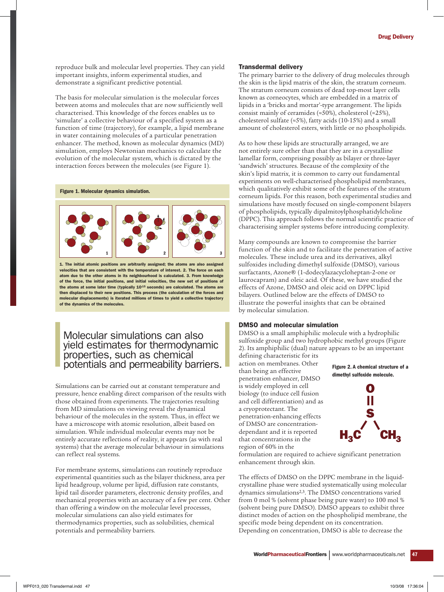reproduce bulk and molecular level properties. They can yield important insights, inform experimental studies, and demonstrate a significant predictive potential.

The basis for molecular simulation is the molecular forces between atoms and molecules that are now sufficiently well characterised. This knowledge of the forces enables us to 'simulate' a collective behaviour of a specified system as a function of time (trajectory), for example, a lipid membrane in water containing molecules of a particular penetration enhancer. The method, known as molecular dynamics (MD) simulation, employs Newtonian mechanics to calculate the evolution of the molecular system, which is dictated by the interaction forces between the molecules (see Figure 1).

Figure 1. Molecular dynamics simulation.



1. The initial atomic positions are arbitrarily assigned; the atoms are also assigned velocities that are consistent with the temperature of interest. 2. The force on each atom due to the other atoms in its neighbourhood is calculated. 3. From knowledge of the force, the initial positions, and initial velocities, the new set of positions of the atoms at some later time (typically 10-15 seconds) are calculated. The atoms are then displaced to their new positions. This process (the calculation of the forces and molecular displacements) is iterated millions of times to yield a collective trajectory of the dynamics of the molecules.

# Molecular simulations can also yield estimates for thermodynamic properties, such as chemical potentials and permeability barriers.

Simulations can be carried out at constant temperature and pressure, hence enabling direct comparison of the results with those obtained from experiments. The trajectories resulting from MD simulations on viewing reveal the dynamical behaviour of the molecules in the system. Thus, in effect we have a microscope with atomic resolution, albeit based on simulation. While individual molecular events may not be entirely accurate reflections of reality, it appears (as with real systems) that the average molecular behaviour in simulations can reflect real systems.

For membrane systems, simulations can routinely reproduce experimental quantities such as the bilayer thickness, area per lipid headgroup, volume per lipid, diffusion rate constants, lipid tail disorder parameters, electronic density profiles, and mechanical properties with an accuracy of a few per cent. Other than offering a window on the molecular level processes, molecular simulations can also yield estimates for thermodynamics properties, such as solubilities, chemical potentials and permeability barriers.

## Transdermal delivery

The primary barrier to the delivery of drug molecules through the skin is the lipid matrix of the skin, the stratum corneum. The stratum corneum consists of dead top-most layer cells known as corneocytes, which are embedded in a matrix of lipids in a 'bricks and mortar'-type arrangement. The lipids consist mainly of ceramides (≈50%), cholesterol (≈25%), cholesterol sulfate (≈5%), fatty acids (10-15%) and a small amount of cholesterol esters, with little or no phospholipids.

As to how these lipids are structurally arranged, we are not entirely sure other than that they are in a crystalline lamellar form, comprising possibly as bilayer or three-layer 'sandwich' structures. Because of the complexity of the skin's lipid matrix, it is common to carry out fundamental experiments on well-characterised phospholipid membranes, which qualitatively exhibit some of the features of the stratum corneum lipids. For this reason, both experimental studies and simulations have mostly focused on single-component bilayers of phospholipids, typically dipalmitoylphosphatidylcholine (DPPC). This approach follows the normal scientific practice of characterising simpler systems before introducing complexity.

Many compounds are known to compromise the barrier function of the skin and to facilitate the penetration of active molecules. These include urea and its derivatives, alkyl sulfoxides including dimethyl sulfoxide (DMSO), various surfactants, Azone® (1-dodecylazacycloheptan-2-one or laurocapram) and oleic acid. Of these, we have studied the effects of Azone, DMSO and oleic acid on DPPC lipid bilayers. Outlined below are the effects of DMSO to illustrate the powerful insights that can be obtained by molecular simulation.

## DMSO and molecular simulation

DMSO is a small amphiphilic molecule with a hydrophilic sulfoxide group and two hydrophobic methyl groups (Figure 2). Its amphiphilic (dual) nature appears to be an important

defining characteristic for its action on membranes. Other than being an effective penetration enhancer, DMSO is widely employed in cell biology (to induce cell fusion and cell differentiation) and as a cryoprotectant. The penetration-enhancing effects of DMSO are concentrationdependant and it is reported that concentrations in the region of 60% in the

## Figure 2. A chemical structure of a dimethyl sulfoxide molecule.



formulation are required to achieve significant penetration enhancement through skin.

The effects of DMSO on the DPPC membrane in the liquidcrystalline phase were studied systematically using molecular dynamics simulations2,3. The DMSO concentrations varied from 0 mol % (solvent phase being pure water) to 100 mol % (solvent being pure DMSO). DMSO appears to exhibit three distinct modes of action on the phospholipid membrane, the specific mode being dependent on its concentration. Depending on concentration, DMSO is able to decrease the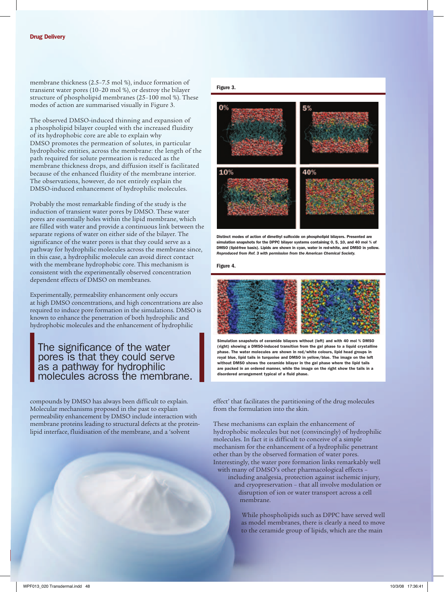membrane thickness (2.5–7.5 mol %), induce formation of transient water pores (10–20 mol %), or destroy the bilayer structure of phospholipid membranes (25–100 mol %). These modes of action are summarised visually in Figure 3.

The observed DMSO-induced thinning and expansion of a phospholipid bilayer coupled with the increased fluidity of its hydrophobic core are able to explain why DMSO promotes the permeation of solutes, in particular hydrophobic entities, across the membrane: the length of the path required for solute permeation is reduced as the membrane thickness drops, and diffusion itself is facilitated because of the enhanced fluidity of the membrane interior. The observations, however, do not entirely explain the DMSO-induced enhancement of hydrophilic molecules.

Probably the most remarkable finding of the study is the induction of transient water pores by DMSO. These water pores are essentially holes within the lipid membrane, which are filled with water and provide a continuous link between the separate regions of water on either side of the bilayer. The significance of the water pores is that they could serve as a pathway for hydrophilic molecules across the membrane since, in this case, a hydrophilic molecule can avoid direct contact with the membrane hydrophobic core. This mechanism is consistent with the experimentally observed concentration dependent effects of DMSO on membranes.

Experimentally, permeability enhancement only occurs at high DMSO concentrations, and high concentrations are also required to induce pore formation in the simulations. DMSO is known to enhance the penetration of both hydrophilic and hydrophobic molecules and the enhancement of hydrophilic

# The significance of the water pores is that they could serve as a pathway for hydrophilic molecules across the membrane.

compounds by DMSO has always been difficult to explain. Molecular mechanisms proposed in the past to explain permeability enhancement by DMSO include interaction with membrane proteins leading to structural defects at the proteinlipid interface, fluidisation of the membrane, and a 'solvent

<sup>48</sup> WorldPharmaceuticalFrontiers | www.worldpharmaceuticals.net

## Figure 3.



Distinct modes of action of dimethyl sulfoxide on phospholipid bilayers. Presented are simulation snapshots for the DPPC bilayer systems containing 0, 5, 10, and 40 mol % of DMSO (lipid-free basis). Lipids are shown in cyan, water in red-white, and DMSO in yellow. *Reproduced from Ref. 3 with permission from the American Chemical Society.*

#### Figure 4.



Simulation snapshots of ceramide bilayers without (left) and with 40 mol % DMSO (right) showing a DMSO-induced transition from the gel phase to a liquid crystalline phase. The water molecules are shown in red/white colours, lipid head groups in royal blue, lipid tails in turquoise and DMSO in yellow/blue. The image on the left without DMSO shows the ceramide bilayer in the gel phase where the lipid tails are packed in an ordered manner, while the image on the right show the tails in a disordered arrangement typical of a fluid phase.

effect' that facilitates the partitioning of the drug molecules from the formulation into the skin.

These mechanisms can explain the enhancement of hydrophobic molecules but not (convincingly) of hydrophilic molecules. In fact it is difficult to conceive of a simple mechanism for the enhancement of a hydrophilic penetrant other than by the observed formation of water pores. Interestingly, the water pore formation links remarkably well with many of DMSO's other pharmacological effects –

including analgesia, protection against ischemic injury, and cryopreservation – that all involve modulation or disruption of ion or water transport across a cell membrane.

> While phospholipids such as DPPC have served well as model membranes, there is clearly a need to move to the ceramide group of lipids, which are the main